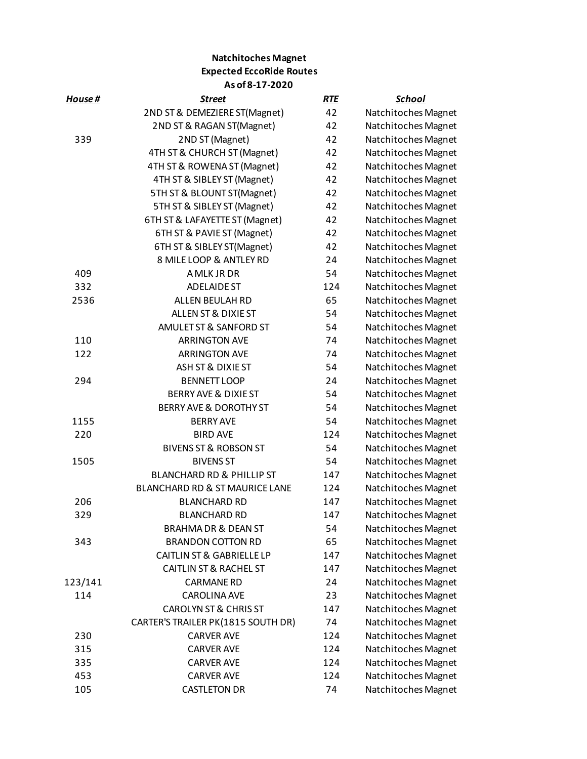## **Natchitoches Magnet Expected EccoRide Routes As of 8-17-2020**

| House # | <u>Street</u>                        | <b>RTE</b> | <b>School</b>       |
|---------|--------------------------------------|------------|---------------------|
|         | 2ND ST & DEMEZIERE ST(Magnet)        | 42         | Natchitoches Magnet |
|         | 2ND ST & RAGAN ST(Magnet)            | 42         | Natchitoches Magnet |
| 339     | 2ND ST (Magnet)                      | 42         | Natchitoches Magnet |
|         | 4TH ST & CHURCH ST (Magnet)          | 42         | Natchitoches Magnet |
|         | 4TH ST & ROWENA ST (Magnet)          | 42         | Natchitoches Magnet |
|         | 4TH ST & SIBLEY ST (Magnet)          | 42         | Natchitoches Magnet |
|         | 5TH ST & BLOUNT ST(Magnet)           | 42         | Natchitoches Magnet |
|         | 5TH ST & SIBLEY ST (Magnet)          | 42         | Natchitoches Magnet |
|         | 6TH ST & LAFAYETTE ST (Magnet)       | 42         | Natchitoches Magnet |
|         | 6TH ST & PAVIE ST (Magnet)           | 42         | Natchitoches Magnet |
|         | 6TH ST & SIBLEY ST(Magnet)           | 42         | Natchitoches Magnet |
|         | 8 MILE LOOP & ANTLEY RD              | 24         | Natchitoches Magnet |
| 409     | A MLK JR DR                          | 54         | Natchitoches Magnet |
| 332     | <b>ADELAIDE ST</b>                   | 124        | Natchitoches Magnet |
| 2536    | ALLEN BEULAH RD                      | 65         | Natchitoches Magnet |
|         | ALLEN ST & DIXIE ST                  | 54         | Natchitoches Magnet |
|         | AMULET ST & SANFORD ST               | 54         | Natchitoches Magnet |
| 110     | <b>ARRINGTON AVE</b>                 | 74         | Natchitoches Magnet |
| 122     | <b>ARRINGTON AVE</b>                 | 74         | Natchitoches Magnet |
|         | ASH ST & DIXIE ST                    | 54         | Natchitoches Magnet |
| 294     | <b>BENNETT LOOP</b>                  | 24         | Natchitoches Magnet |
|         | <b>BERRY AVE &amp; DIXIE ST</b>      | 54         | Natchitoches Magnet |
|         | BERRY AVE & DOROTHY ST               | 54         | Natchitoches Magnet |
| 1155    | <b>BERRY AVE</b>                     | 54         | Natchitoches Magnet |
| 220     | <b>BIRD AVE</b>                      | 124        | Natchitoches Magnet |
|         | <b>BIVENS ST &amp; ROBSON ST</b>     | 54         | Natchitoches Magnet |
| 1505    | <b>BIVENS ST</b>                     | 54         | Natchitoches Magnet |
|         | <b>BLANCHARD RD &amp; PHILLIP ST</b> | 147        | Natchitoches Magnet |
|         | BLANCHARD RD & ST MAURICE LANE       | 124        | Natchitoches Magnet |
| 206     | <b>BLANCHARD RD</b>                  | 147        | Natchitoches Magnet |
| 329     | <b>BLANCHARD RD</b>                  | 147        | Natchitoches Magnet |
|         | <b>BRAHMA DR &amp; DEAN ST</b>       | 54         | Natchitoches Magnet |
| 343     | <b>BRANDON COTTON RD</b>             | 65         | Natchitoches Magnet |
|         | <b>CAITLIN ST &amp; GABRIELLE LP</b> | 147        | Natchitoches Magnet |
|         | <b>CAITLIN ST &amp; RACHEL ST</b>    | 147        | Natchitoches Magnet |
| 123/141 | <b>CARMANE RD</b>                    | 24         | Natchitoches Magnet |
| 114     | <b>CAROLINA AVE</b>                  | 23         | Natchitoches Magnet |
|         | <b>CAROLYN ST &amp; CHRIS ST</b>     | 147        | Natchitoches Magnet |
|         | CARTER'S TRAILER PK(1815 SOUTH DR)   | 74         | Natchitoches Magnet |
| 230     | <b>CARVER AVE</b>                    | 124        | Natchitoches Magnet |
| 315     | <b>CARVER AVE</b>                    | 124        | Natchitoches Magnet |
| 335     | <b>CARVER AVE</b>                    | 124        | Natchitoches Magnet |
| 453     | <b>CARVER AVE</b>                    | 124        | Natchitoches Magnet |
| 105     | <b>CASTLETON DR</b>                  | 74         | Natchitoches Magnet |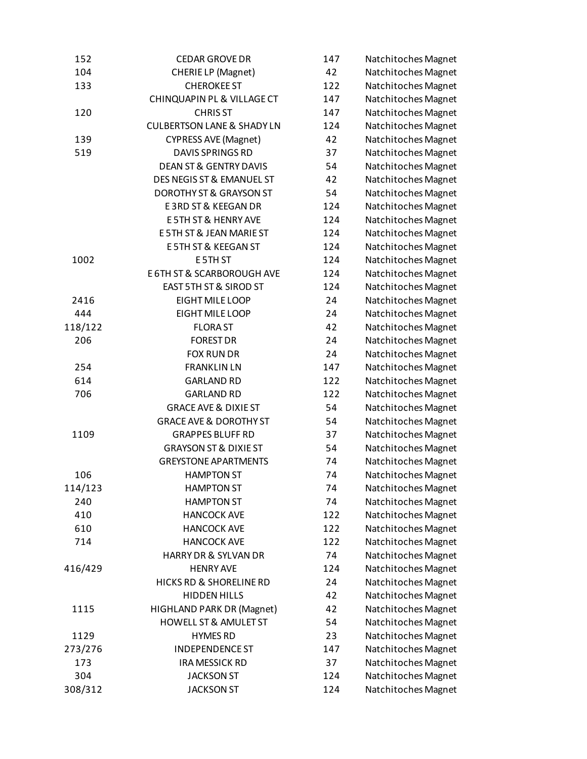| 152     | <b>CEDAR GROVE DR</b>                 | 147 | Natchitoches Magnet |
|---------|---------------------------------------|-----|---------------------|
| 104     | <b>CHERIE LP (Magnet)</b>             | 42  | Natchitoches Magnet |
| 133     | <b>CHEROKEE ST</b>                    | 122 | Natchitoches Magnet |
|         | CHINQUAPIN PL & VILLAGE CT            | 147 | Natchitoches Magnet |
| 120     | <b>CHRISST</b>                        | 147 | Natchitoches Magnet |
|         | <b>CULBERTSON LANE &amp; SHADY LN</b> | 124 | Natchitoches Magnet |
| 139     | <b>CYPRESS AVE (Magnet)</b>           | 42  | Natchitoches Magnet |
| 519     | <b>DAVIS SPRINGS RD</b>               | 37  | Natchitoches Magnet |
|         | <b>DEAN ST &amp; GENTRY DAVIS</b>     | 54  | Natchitoches Magnet |
|         | DES NEGIS ST & EMANUEL ST             | 42  | Natchitoches Magnet |
|         | <b>DOROTHY ST &amp; GRAYSON ST</b>    | 54  | Natchitoches Magnet |
|         | <b>E3RD ST &amp; KEEGAN DR</b>        | 124 | Natchitoches Magnet |
|         | <b>E5TH ST &amp; HENRY AVE</b>        | 124 | Natchitoches Magnet |
|         | E 5TH ST & JEAN MARIE ST              | 124 | Natchitoches Magnet |
|         | E 5TH ST & KEEGAN ST                  | 124 | Natchitoches Magnet |
| 1002    | E 5TH ST                              | 124 | Natchitoches Magnet |
|         | <b>E 6TH ST &amp; SCARBOROUGH AVE</b> | 124 | Natchitoches Magnet |
|         | EAST 5TH ST & SIROD ST                | 124 | Natchitoches Magnet |
| 2416    | EIGHT MILE LOOP                       | 24  | Natchitoches Magnet |
| 444     | EIGHT MILE LOOP                       | 24  | Natchitoches Magnet |
| 118/122 | <b>FLORAST</b>                        | 42  | Natchitoches Magnet |
| 206     | <b>FOREST DR</b>                      | 24  | Natchitoches Magnet |
|         | <b>FOX RUN DR</b>                     | 24  | Natchitoches Magnet |
| 254     | <b>FRANKLIN LN</b>                    | 147 | Natchitoches Magnet |
| 614     | <b>GARLAND RD</b>                     | 122 | Natchitoches Magnet |
| 706     | <b>GARLAND RD</b>                     | 122 | Natchitoches Magnet |
|         | <b>GRACE AVE &amp; DIXIE ST</b>       | 54  | Natchitoches Magnet |
|         | <b>GRACE AVE &amp; DOROTHY ST</b>     | 54  | Natchitoches Magnet |
| 1109    | <b>GRAPPES BLUFF RD</b>               | 37  | Natchitoches Magnet |
|         | <b>GRAYSON ST &amp; DIXIE ST</b>      | 54  | Natchitoches Magnet |
|         | <b>GREYSTONE APARTMENTS</b>           | 74  | Natchitoches Magnet |
| 106     | <b>HAMPTON ST</b>                     | 74  | Natchitoches Magnet |
| 114/123 | <b>HAMPTON ST</b>                     | 74  | Natchitoches Magnet |
| 240     | <b>HAMPTON ST</b>                     | 74  | Natchitoches Magnet |
| 410     | <b>HANCOCK AVE</b>                    | 122 | Natchitoches Magnet |
| 610     | <b>HANCOCK AVE</b>                    | 122 | Natchitoches Magnet |
| 714     | <b>HANCOCK AVE</b>                    | 122 | Natchitoches Magnet |
|         | HARRY DR & SYLVAN DR                  | 74  | Natchitoches Magnet |
| 416/429 | <b>HENRY AVE</b>                      | 124 | Natchitoches Magnet |
|         | HICKS RD & SHORELINE RD               | 24  | Natchitoches Magnet |
|         | <b>HIDDEN HILLS</b>                   | 42  | Natchitoches Magnet |
| 1115    | HIGHLAND PARK DR (Magnet)             | 42  | Natchitoches Magnet |
|         | <b>HOWELL ST &amp; AMULET ST</b>      | 54  | Natchitoches Magnet |
| 1129    | <b>HYMES RD</b>                       | 23  | Natchitoches Magnet |
| 273/276 | <b>INDEPENDENCE ST</b>                | 147 | Natchitoches Magnet |
| 173     | <b>IRA MESSICK RD</b>                 | 37  | Natchitoches Magnet |
| 304     | <b>JACKSON ST</b>                     | 124 | Natchitoches Magnet |
| 308/312 | <b>JACKSON ST</b>                     | 124 | Natchitoches Magnet |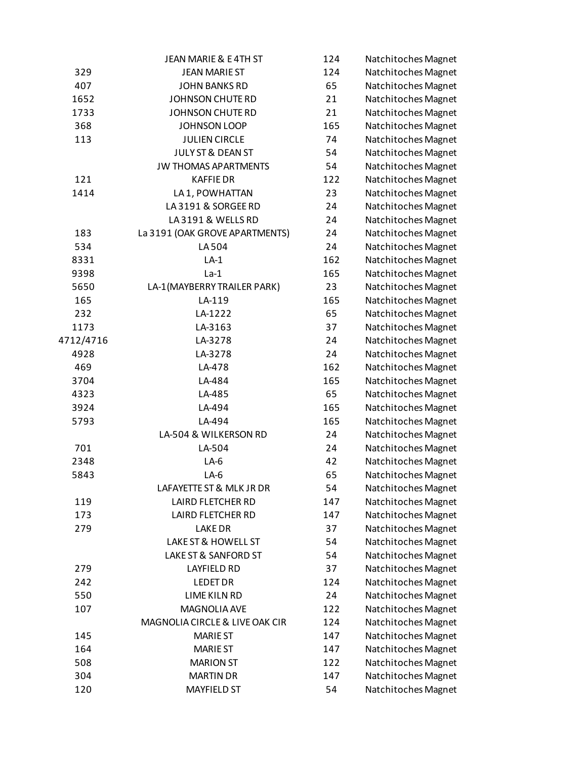|           | JEAN MARIE & E4TH ST           | 124 | Natchitoches Magnet |
|-----------|--------------------------------|-----|---------------------|
| 329       | <b>JEAN MARIE ST</b>           | 124 | Natchitoches Magnet |
| 407       | <b>JOHN BANKS RD</b>           | 65  | Natchitoches Magnet |
| 1652      | JOHNSON CHUTE RD               | 21  | Natchitoches Magnet |
| 1733      | JOHNSON CHUTE RD               | 21  | Natchitoches Magnet |
| 368       | JOHNSON LOOP                   | 165 | Natchitoches Magnet |
| 113       | <b>JULIEN CIRCLE</b>           | 74  | Natchitoches Magnet |
|           | JULY ST & DEAN ST              | 54  | Natchitoches Magnet |
|           | <b>JW THOMAS APARTMENTS</b>    | 54  | Natchitoches Magnet |
| 121       | <b>KAFFIEDR</b>                | 122 | Natchitoches Magnet |
| 1414      | LA 1, POWHATTAN                | 23  | Natchitoches Magnet |
|           | LA3191 & SORGEE RD             | 24  | Natchitoches Magnet |
|           | LA3191 & WELLS RD              | 24  | Natchitoches Magnet |
| 183       | La 3191 (OAK GROVE APARTMENTS) | 24  | Natchitoches Magnet |
| 534       | LA 504                         | 24  | Natchitoches Magnet |
| 8331      | $LA-1$                         | 162 | Natchitoches Magnet |
| 9398      | $La-1$                         | 165 | Natchitoches Magnet |
| 5650      | LA-1(MAYBERRY TRAILER PARK)    | 23  | Natchitoches Magnet |
| 165       | LA-119                         | 165 | Natchitoches Magnet |
| 232       | LA-1222                        | 65  | Natchitoches Magnet |
| 1173      | LA-3163                        | 37  | Natchitoches Magnet |
| 4712/4716 | LA-3278                        | 24  | Natchitoches Magnet |
| 4928      | LA-3278                        | 24  | Natchitoches Magnet |
| 469       | LA-478                         | 162 | Natchitoches Magnet |
| 3704      | LA-484                         | 165 | Natchitoches Magnet |
| 4323      | LA-485                         | 65  | Natchitoches Magnet |
| 3924      | LA-494                         | 165 | Natchitoches Magnet |
| 5793      | LA-494                         | 165 | Natchitoches Magnet |
|           | LA-504 & WILKERSON RD          | 24  | Natchitoches Magnet |
| 701       | LA-504                         | 24  | Natchitoches Magnet |
| 2348      | $LA-6$                         | 42  | Natchitoches Magnet |
| 5843      | $LA-6$                         | 65  | Natchitoches Magnet |
|           | LAFAYETTE ST & MLK JR DR       | 54  | Natchitoches Magnet |
| 119       | <b>LAIRD FLETCHER RD</b>       | 147 | Natchitoches Magnet |
| 173       | <b>LAIRD FLETCHER RD</b>       | 147 | Natchitoches Magnet |
| 279       | <b>LAKE DR</b>                 | 37  | Natchitoches Magnet |
|           | LAKE ST & HOWELL ST            | 54  | Natchitoches Magnet |
|           | LAKE ST & SANFORD ST           | 54  | Natchitoches Magnet |
| 279       | <b>LAYFIELD RD</b>             | 37  | Natchitoches Magnet |
| 242       | <b>LEDET DR</b>                | 124 | Natchitoches Magnet |
| 550       | LIME KILN RD                   | 24  | Natchitoches Magnet |
| 107       | MAGNOLIA AVE                   | 122 | Natchitoches Magnet |
|           | MAGNOLIA CIRCLE & LIVE OAK CIR | 124 | Natchitoches Magnet |
| 145       | <b>MARIE ST</b>                | 147 | Natchitoches Magnet |
| 164       | <b>MARIE ST</b>                | 147 | Natchitoches Magnet |
| 508       | <b>MARION ST</b>               | 122 | Natchitoches Magnet |
| 304       | <b>MARTIN DR</b>               | 147 | Natchitoches Magnet |
| 120       | <b>MAYFIELD ST</b>             | 54  | Natchitoches Magnet |
|           |                                |     |                     |

| 124 | Natchitoches Magnet |
|-----|---------------------|
| 124 | Natchitoches Magnet |
| 65  | Natchitoches Magnet |
| 21  | Natchitoches Magnet |
| 21  | Natchitoches Magnet |
| 165 | Natchitoches Magnet |
| 74  | Natchitoches Magnet |
| 54  | Natchitoches Magnet |
| 54  | Natchitoches Magnet |
| 122 | Natchitoches Magnet |
| 23  | Natchitoches Magnet |
| 24  | Natchitoches Magnet |
| 24  | Natchitoches Magnet |
| 24  | Natchitoches Magnet |
| 24  | Natchitoches Magnet |
| 162 | Natchitoches Magnet |
| 165 | Natchitoches Magnet |
| 23  | Natchitoches Magnet |
| 165 | Natchitoches Magnet |
| 65  | Natchitoches Magnet |
| 37  | Natchitoches Magnet |
| 24  | Natchitoches Magnet |
| 24  |                     |
| 162 | Natchitoches Magnet |
| 165 | Natchitoches Magnet |
|     | Natchitoches Magnet |
| 65  | Natchitoches Magnet |
| 165 | Natchitoches Magnet |
| 165 | Natchitoches Magnet |
| 24  | Natchitoches Magnet |
| 24  | Natchitoches Magnet |
| 42  | Natchitoches Magnet |
| 65  | Natchitoches Magnet |
| 54  | Natchitoches Magnet |
| 147 | Natchitoches Magnet |
| 147 | Natchitoches Magnet |
| 37  | Natchitoches Magnet |
| 54  | Natchitoches Magnet |
| 54  | Natchitoches Magnet |
| 37  | Natchitoches Magnet |
| 124 | Natchitoches Magnet |
| 24  | Natchitoches Magnet |
| 122 | Natchitoches Magnet |
| 124 | Natchitoches Magnet |
| 147 | Natchitoches Magnet |
| 147 | Natchitoches Magnet |
| 122 | Natchitoches Magnet |
| 147 | Natchitoches Magnet |
| 54  | Natchitoches Magnet |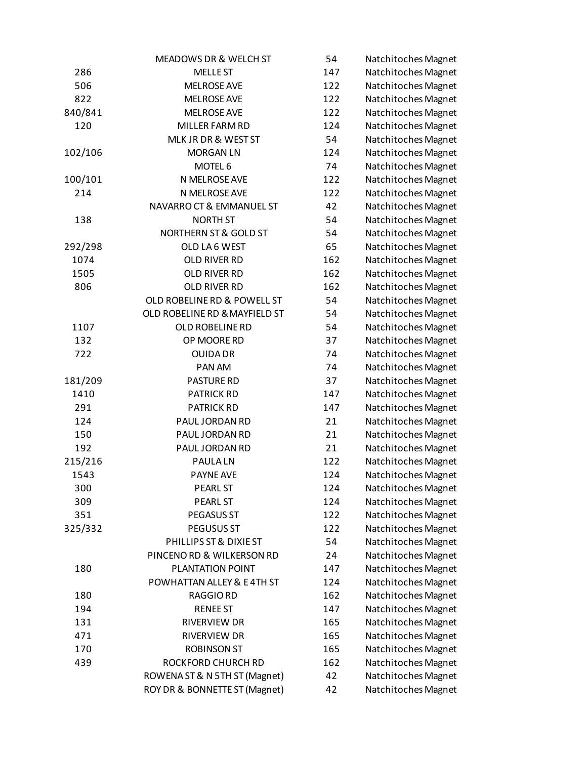|         | MEADOWS DR & WELCH ST         | 54  | Natchitoches Magnet |
|---------|-------------------------------|-----|---------------------|
| 286     | <b>MELLE ST</b>               | 147 | Natchitoches Magnet |
| 506     | <b>MELROSE AVE</b>            | 122 | Natchitoches Magnet |
| 822     | <b>MELROSE AVE</b>            | 122 | Natchitoches Magnet |
| 840/841 | <b>MELROSE AVE</b>            | 122 | Natchitoches Magnet |
| 120     | MILLER FARM RD                | 124 | Natchitoches Magnet |
|         | MLK JR DR & WEST ST           | 54  | Natchitoches Magnet |
| 102/106 | <b>MORGAN LN</b>              | 124 | Natchitoches Magnet |
|         | MOTEL 6                       | 74  | Natchitoches Magnet |
| 100/101 | N MELROSE AVE                 | 122 | Natchitoches Magnet |
| 214     | N MELROSE AVE                 | 122 | Natchitoches Magnet |
|         | NAVARRO CT & EMMANUEL ST      | 42  | Natchitoches Magnet |
| 138     | <b>NORTH ST</b>               | 54  | Natchitoches Magnet |
|         | NORTHERN ST & GOLD ST         | 54  | Natchitoches Magnet |
| 292/298 | OLD LA6 WEST                  | 65  | Natchitoches Magnet |
| 1074    | OLD RIVER RD                  | 162 | Natchitoches Magnet |
| 1505    | OLD RIVER RD                  | 162 | Natchitoches Magnet |
| 806     | OLD RIVER RD                  | 162 | Natchitoches Magnet |
|         | OLD ROBELINE RD & POWELL ST   | 54  | Natchitoches Magnet |
|         | OLD ROBELINE RD & MAYFIELD ST | 54  | Natchitoches Magnet |
| 1107    | OLD ROBELINE RD               | 54  | Natchitoches Magnet |
| 132     | OP MOORE RD                   | 37  | Natchitoches Magnet |
| 722     | <b>OUIDA DR</b>               | 74  | Natchitoches Magnet |
|         | PAN AM                        | 74  | Natchitoches Magnet |
| 181/209 | <b>PASTURE RD</b>             | 37  | Natchitoches Magnet |
| 1410    | <b>PATRICK RD</b>             | 147 | Natchitoches Magnet |
| 291     | <b>PATRICK RD</b>             | 147 | Natchitoches Magnet |
| 124     | PAUL JORDAN RD                | 21  | Natchitoches Magnet |
| 150     | PAUL JORDAN RD                | 21  | Natchitoches Magnet |
| 192     | PAUL JORDAN RD                | 21  | Natchitoches Magnet |
| 215/216 | <b>PAULALN</b>                | 122 | Natchitoches Magnet |
| 1543    | <b>PAYNE AVE</b>              | 124 | Natchitoches Magnet |
| 300     | <b>PEARL ST</b>               | 124 | Natchitoches Magnet |
| 309     | PEARL ST                      | 124 | Natchitoches Magnet |
| 351     | PEGASUS ST                    | 122 | Natchitoches Magnet |
| 325/332 | PEGUSUS ST                    | 122 | Natchitoches Magnet |
|         | PHILLIPS ST & DIXIE ST        | 54  | Natchitoches Magnet |
|         | PINCENORD & WILKERSON RD      | 24  | Natchitoches Magnet |
| 180     | PLANTATION POINT              | 147 | Natchitoches Magnet |
|         | POWHATTAN ALLEY & E4TH ST     | 124 | Natchitoches Magnet |
| 180     | RAGGIO RD                     | 162 | Natchitoches Magnet |
| 194     | <b>RENEE ST</b>               | 147 | Natchitoches Magnet |
| 131     | RIVERVIEW DR                  | 165 | Natchitoches Magnet |
| 471     | RIVERVIEW DR                  | 165 | Natchitoches Magnet |
| 170     | <b>ROBINSON ST</b>            | 165 | Natchitoches Magnet |
| 439     | ROCKFORD CHURCH RD            | 162 | Natchitoches Magnet |
|         | ROWENA ST & N 5TH ST (Magnet) | 42  | Natchitoches Magnet |
|         | ROY DR & BONNETTE ST (Magnet) | 42  | Natchitoches Magnet |
|         |                               |     |                     |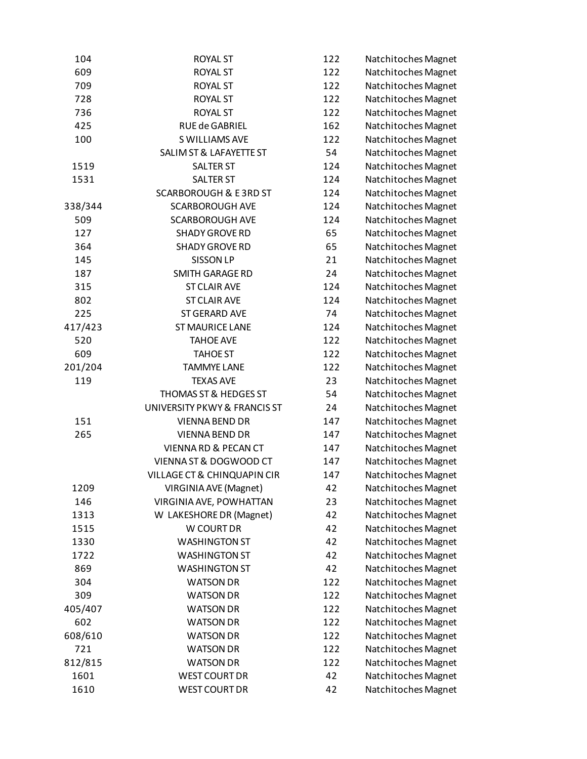| 104            | <b>ROYAL ST</b>                        | 122        | Natchitoches Magnet |
|----------------|----------------------------------------|------------|---------------------|
| 609            | <b>ROYAL ST</b>                        | 122        | Natchitoches Magnet |
| 709            | <b>ROYAL ST</b>                        | 122        | Natchitoches Magnet |
| 728            | <b>ROYAL ST</b>                        | 122        | Natchitoches Magnet |
| 736            | <b>ROYAL ST</b>                        | 122        | Natchitoches Magnet |
| 425            | RUE de GABRIEL                         | 162        | Natchitoches Magnet |
| 100            | S WILLIAMS AVE                         | 122        | Natchitoches Magnet |
|                | <b>SALIM ST &amp; LAFAYETTE ST</b>     | 54         | Natchitoches Magnet |
| 1519           | <b>SALTER ST</b>                       | 124        | Natchitoches Magnet |
| 1531           | <b>SALTER ST</b>                       | 124        | Natchitoches Magnet |
|                | <b>SCARBOROUGH &amp; E3RD ST</b>       | 124        | Natchitoches Magnet |
| 338/344        | <b>SCARBOROUGH AVE</b>                 | 124        | Natchitoches Magnet |
| 509            | <b>SCARBOROUGH AVE</b>                 | 124        | Natchitoches Magnet |
| 127            | <b>SHADY GROVE RD</b>                  | 65         | Natchitoches Magnet |
| 364            | <b>SHADY GROVE RD</b>                  | 65         | Natchitoches Magnet |
| 145            | <b>SISSON LP</b>                       | 21         | Natchitoches Magnet |
| 187            | <b>SMITH GARAGE RD</b>                 | 24         | Natchitoches Magnet |
| 315            | <b>ST CLAIR AVE</b>                    | 124        | Natchitoches Magnet |
| 802            | <b>ST CLAIR AVE</b>                    | 124        | Natchitoches Magnet |
| 225            | <b>ST GERARD AVE</b>                   | 74         | Natchitoches Magnet |
| 417/423        | <b>ST MAURICE LANE</b>                 | 124        | Natchitoches Magnet |
| 520            | <b>TAHOE AVE</b>                       | 122        | Natchitoches Magnet |
| 609            | <b>TAHOE ST</b>                        | 122        | Natchitoches Magnet |
| 201/204        | <b>TAMMYE LANE</b>                     | 122        | Natchitoches Magnet |
| 119            | <b>TEXAS AVE</b>                       | 23         | Natchitoches Magnet |
|                | THOMAS ST & HEDGES ST                  | 54         | Natchitoches Magnet |
|                | UNIVERSITY PKWY & FRANCIS ST           | 24         | Natchitoches Magnet |
| 151            | <b>VIENNA BEND DR</b>                  | 147        | Natchitoches Magnet |
| 265            | <b>VIENNA BEND DR</b>                  | 147        | Natchitoches Magnet |
|                | <b>VIENNA RD &amp; PECAN CT</b>        | 147        | Natchitoches Magnet |
|                | VIENNA ST & DOGWOOD CT                 | 147        | Natchitoches Magnet |
|                | <b>VILLAGE CT &amp; CHINQUAPIN CIR</b> | 147        | Natchitoches Magnet |
| 1209           | VIRGINIA AVE (Magnet)                  | 42         | Natchitoches Magnet |
| 146            | VIRGINIA AVE, POWHATTAN                | 23         | Natchitoches Magnet |
| 1313           | W LAKESHORE DR (Magnet)                | 42         | Natchitoches Magnet |
| 1515           | W COURT DR                             | 42         | Natchitoches Magnet |
| 1330           | <b>WASHINGTON ST</b>                   | 42         | Natchitoches Magnet |
| 1722           | <b>WASHINGTON ST</b>                   | 42         | Natchitoches Magnet |
| 869            | <b>WASHINGTON ST</b>                   | 42         | Natchitoches Magnet |
| 304            | <b>WATSON DR</b>                       | 122        | Natchitoches Magnet |
| 309            | <b>WATSON DR</b>                       | 122        | Natchitoches Magnet |
| 405/407        | <b>WATSON DR</b>                       | 122        | Natchitoches Magnet |
| 602            | <b>WATSON DR</b>                       | 122        | Natchitoches Magnet |
|                |                                        |            |                     |
| 608/610<br>721 | <b>WATSON DR</b><br><b>WATSON DR</b>   | 122<br>122 | Natchitoches Magnet |
|                |                                        |            | Natchitoches Magnet |
| 812/815        | <b>WATSON DR</b>                       | 122        | Natchitoches Magnet |
| 1601           | <b>WEST COURT DR</b>                   | 42         | Natchitoches Magnet |
| 1610           | <b>WEST COURT DR</b>                   | 42         | Natchitoches Magnet |